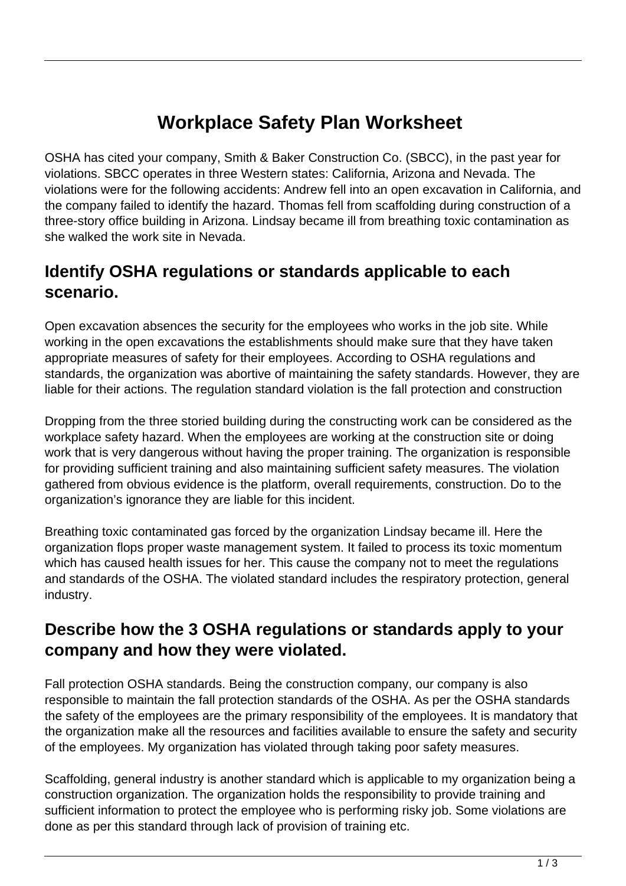# **Workplace Safety Plan Worksheet**

OSHA has cited your company, Smith & Baker Construction Co. (SBCC), in the past year for violations. SBCC operates in three Western states: California, Arizona and Nevada. The violations were for the following accidents: Andrew fell into an open excavation in California, and the company failed to identify the hazard. Thomas fell from scaffolding during construction of a three-story office building in Arizona. Lindsay became ill from breathing toxic contamination as she walked the work site in Nevada.

# **Identify OSHA regulations or standards applicable to each scenario.**

Open excavation absences the security for the employees who works in the job site. While working in the open excavations the establishments should make sure that they have taken appropriate measures of safety for their employees. According to OSHA regulations and standards, the organization was abortive of maintaining the safety standards. However, they are liable for their actions. The regulation standard violation is the fall protection and construction

Dropping from the three storied building during the constructing work can be considered as the workplace safety hazard. When the employees are working at the construction site or doing work that is very dangerous without having the proper training. The organization is responsible for providing sufficient training and also maintaining sufficient safety measures. The violation gathered from obvious evidence is the platform, overall requirements, construction. Do to the organization's ignorance they are liable for this incident.

Breathing toxic contaminated gas forced by the organization Lindsay became ill. Here the organization flops proper waste management system. It failed to process its toxic momentum which has caused health issues for her. This cause the company not to meet the regulations and standards of the OSHA. The violated standard includes the respiratory protection, general industry.

#### **Describe how the 3 OSHA regulations or standards apply to your company and how they were violated.**

Fall protection OSHA standards. Being the construction company, our company is also responsible to maintain the fall protection standards of the OSHA. As per the OSHA standards the safety of the employees are the primary responsibility of the employees. It is mandatory that the organization make all the resources and facilities available to ensure the safety and security of the employees. My organization has violated through taking poor safety measures.

Scaffolding, general industry is another standard which is applicable to my organization being a construction organization. The organization holds the responsibility to provide training and sufficient information to protect the employee who is performing risky job. Some violations are done as per this standard through lack of provision of training etc.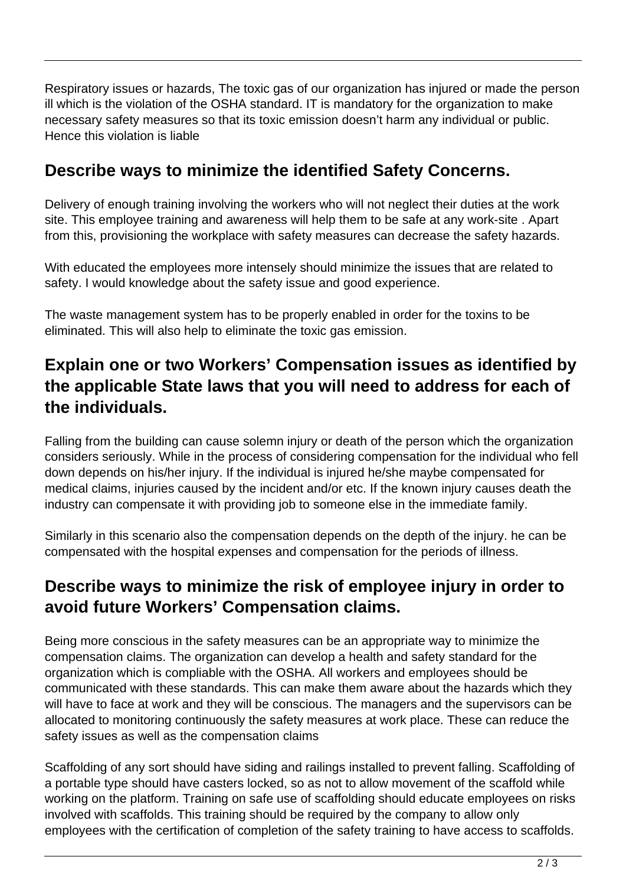Respiratory issues or hazards, The toxic gas of our organization has injured or made the person ill which is the violation of the OSHA standard. IT is mandatory for the organization to make necessary safety measures so that its toxic emission doesn't harm any individual or public. Hence this violation is liable

## **Describe ways to minimize the identified Safety Concerns.**

Delivery of enough training involving the workers who will not neglect their duties at the work site. This employee training and awareness will help them to be safe at any work-site . Apart from this, provisioning the workplace with safety measures can decrease the safety hazards.

With educated the employees more intensely should minimize the issues that are related to safety. I would knowledge about the safety issue and good experience.

The waste management system has to be properly enabled in order for the toxins to be eliminated. This will also help to eliminate the toxic gas emission.

# **Explain one or two Workers' Compensation issues as identified by the applicable State laws that you will need to address for each of the individuals.**

Falling from the building can cause solemn injury or death of the person which the organization considers seriously. While in the process of considering compensation for the individual who fell down depends on his/her injury. If the individual is injured he/she maybe compensated for medical claims, injuries caused by the incident and/or etc. If the known injury causes death the industry can compensate it with providing job to someone else in the immediate family.

Similarly in this scenario also the compensation depends on the depth of the injury. he can be compensated with the hospital expenses and compensation for the periods of illness.

## **Describe ways to minimize the risk of employee injury in order to avoid future Workers' Compensation claims.**

Being more conscious in the safety measures can be an appropriate way to minimize the compensation claims. The organization can develop a health and safety standard for the organization which is compliable with the OSHA. All workers and employees should be communicated with these standards. This can make them aware about the hazards which they will have to face at work and they will be conscious. The managers and the supervisors can be allocated to monitoring continuously the safety measures at work place. These can reduce the safety issues as well as the compensation claims

Scaffolding of any sort should have siding and railings installed to prevent falling. Scaffolding of a portable type should have casters locked, so as not to allow movement of the scaffold while working on the platform. Training on safe use of scaffolding should educate employees on risks involved with scaffolds. This training should be required by the company to allow only employees with the certification of completion of the safety training to have access to scaffolds.